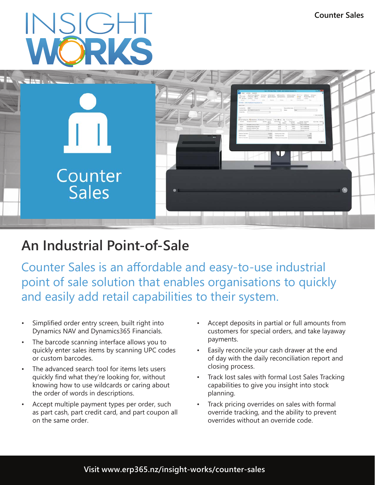# INSIGHT



# **An Industrial Point-of-Sale**

Counter Sales is an affordable and easy-to-use industrial point of sale solution that enables organisations to quickly and easily add retail capabilities to their system.

- Simplified order entry screen, built right into Dynamics NAV and Dynamics365 Financials.
- The barcode scanning interface allows you to quickly enter sales items by scanning UPC codes or custom barcodes.
- The advanced search tool for items lets users quickly find what they're looking for, without knowing how to use wildcards or caring about the order of words in descriptions.
- Accept multiple payment types per order, such as part cash, part credit card, and part coupon all on the same order.
- Accept deposits in partial or full amounts from customers for special orders, and take layaway payments.
- Easily reconcile your cash drawer at the end of day with the daily reconciliation report and closing process.
- Track lost sales with formal Lost Sales Tracking capabilities to give you insight into stock planning.
- Track pricing overrides on sales with formal override tracking, and the ability to prevent overrides without an override code.